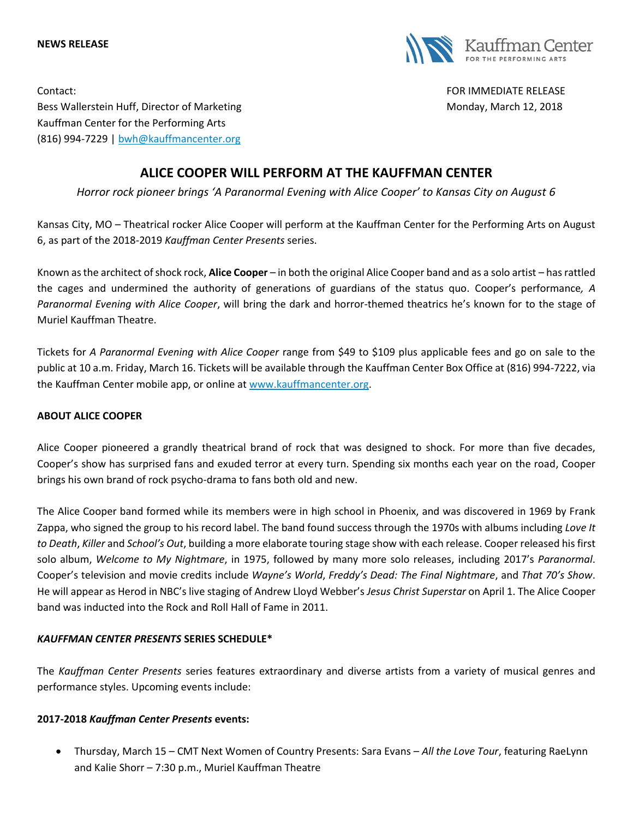



Contact: FOR IMMEDIATE RELEASE Bess Wallerstein Huff, Director of Marketing Monday, Monday, March 12, 2018 Kauffman Center for the Performing Arts (816) 994-7229 | [bwh@kauffmancenter.org](mailto:bwh@kauffmancenter.org)

# **ALICE COOPER WILL PERFORM AT THE KAUFFMAN CENTER**

*Horror rock pioneer brings 'A Paranormal Evening with Alice Cooper' to Kansas City on August 6*

Kansas City, MO – Theatrical rocker Alice Cooper will perform at the Kauffman Center for the Performing Arts on August 6, as part of the 2018-2019 *Kauffman Center Presents* series.

Known as the architect of shock rock, **Alice Cooper** – in both the original Alice Cooper band and as a solo artist – has rattled the cages and undermined the authority of generations of guardians of the status quo. Cooper's performance*, A Paranormal Evening with Alice Cooper*, will bring the dark and horror-themed theatrics he's known for to the stage of Muriel Kauffman Theatre.

Tickets for *A Paranormal Evening with Alice Cooper* range from \$49 to \$109 plus applicable fees and go on sale to the public at 10 a.m. Friday, March 16. Tickets will be available through the Kauffman Center Box Office at (816) 994-7222, via the Kauffman Center mobile app, or online at [www.kauffmancenter.org.](http://www.kauffmancenter.org/)

# **ABOUT ALICE COOPER**

Alice Cooper pioneered a grandly theatrical brand of rock that was designed to shock. For more than five decades, Cooper's show has surprised fans and exuded terror at every turn. Spending six months each year on the road, Cooper brings his own brand of rock psycho-drama to fans both old and new.

The Alice Cooper band formed while its members were in high school in Phoenix, and was discovered in 1969 by Frank Zappa, who signed the group to his record label. The band found success through the 1970s with albums including *Love It to Death*, *Killer* and *School's Out*, building a more elaborate touring stage show with each release. Cooper released his first solo album, *Welcome to My Nightmare*, in 1975, followed by many more solo releases, including 2017's *Paranormal*. Cooper's television and movie credits include *Wayne's World*, *Freddy's Dead: The Final Nightmare*, and *That 70's Show*. He will appear as Herod in NBC's live staging of Andrew Lloyd Webber's *Jesus Christ Superstar* on April 1. The Alice Cooper band was inducted into the Rock and Roll Hall of Fame in 2011.

# *KAUFFMAN CENTER PRESENTS* **SERIES SCHEDULE\***

The *Kauffman Center Presents* series features extraordinary and diverse artists from a variety of musical genres and performance styles. Upcoming events include:

### **2017-2018** *Kauffman Center Presents* **events:**

• Thursday, March 15 – CMT Next Women of Country Presents: Sara Evans – *All the Love Tour*, featuring RaeLynn and Kalie Shorr – 7:30 p.m., Muriel Kauffman Theatre